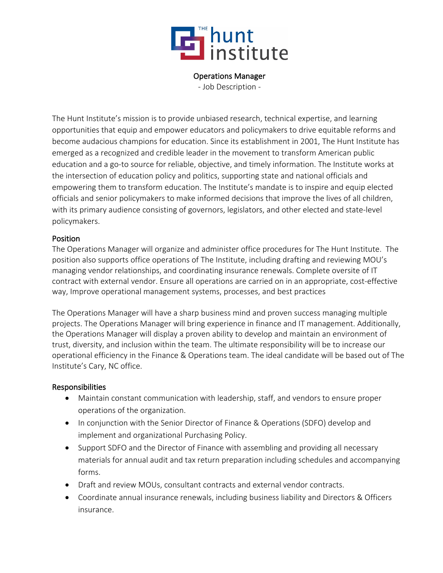

#### Operations Manager

- Job Description -

The Hunt Institute's mission is to provide unbiased research, technical expertise, and learning opportunities that equip and empower educators and policymakers to drive equitable reforms and become audacious champions for education. Since its establishment in 2001, The Hunt Institute has emerged as a recognized and credible leader in the movement to transform American public education and a go-to source for reliable, objective, and timely information. The Institute works at the intersection of education policy and politics, supporting state and national officials and empowering them to transform education. The Institute's mandate is to inspire and equip elected officials and senior policymakers to make informed decisions that improve the lives of all children, with its primary audience consisting of governors, legislators, and other elected and state-level policymakers.

### Position

The Operations Manager will organize and administer office procedures for The Hunt Institute. The position also supports office operations of The Institute, including drafting and reviewing MOU's managing vendor relationships, and coordinating insurance renewals. Complete oversite of IT contract with external vendor. Ensure all operations are carried on in an appropriate, cost-effective way, Improve operational management systems, processes, and best practices

The Operations Manager will have a sharp business mind and proven success managing multiple projects. The Operations Manager will bring experience in finance and IT management. Additionally, the Operations Manager will display a proven ability to develop and maintain an environment of trust, diversity, and inclusion within the team. The ultimate responsibility will be to increase our operational efficiency in the Finance & Operations team. The ideal candidate will be based out of The Institute's Cary, NC office.

### Responsibilities

- Maintain constant communication with leadership, staff, and vendors to ensure proper operations of the organization.
- In conjunction with the Senior Director of Finance & Operations (SDFO) develop and implement and organizational Purchasing Policy.
- Support SDFO and the Director of Finance with assembling and providing all necessary materials for annual audit and tax return preparation including schedules and accompanying forms.
- Draft and review MOUs, consultant contracts and external vendor contracts.
- Coordinate annual insurance renewals, including business liability and Directors & Officers insurance.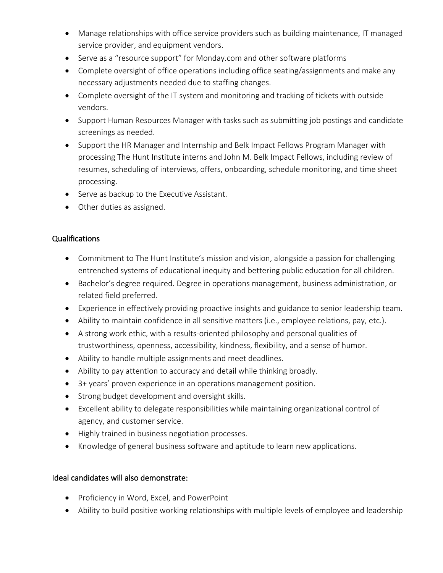- Manage relationships with office service providers such as building maintenance, IT managed service provider, and equipment vendors.
- Serve as a "resource support" for Monday.com and other software platforms
- Complete oversight of office operations including office seating/assignments and make any necessary adjustments needed due to staffing changes.
- Complete oversight of the IT system and monitoring and tracking of tickets with outside vendors.
- Support Human Resources Manager with tasks such as submitting job postings and candidate screenings as needed.
- Support the HR Manager and Internship and Belk Impact Fellows Program Manager with processing The Hunt Institute interns and John M. Belk Impact Fellows, including review of resumes, scheduling of interviews, offers, onboarding, schedule monitoring, and time sheet processing.
- Serve as backup to the Executive Assistant.
- Other duties as assigned.

## Qualifications

- Commitment to The Hunt Institute's mission and vision, alongside a passion for challenging entrenched systems of educational inequity and bettering public education for all children.
- Bachelor's degree required. Degree in operations management, business administration, or related field preferred.
- Experience in effectively providing proactive insights and guidance to senior leadership team.
- Ability to maintain confidence in all sensitive matters (i.e., employee relations, pay, etc.).
- A strong work ethic, with a results-oriented philosophy and personal qualities of trustworthiness, openness, accessibility, kindness, flexibility, and a sense of humor.
- Ability to handle multiple assignments and meet deadlines.
- Ability to pay attention to accuracy and detail while thinking broadly.
- 3+ years' proven experience in an operations management position.
- Strong budget development and oversight skills.
- Excellent ability to delegate responsibilities while maintaining organizational control of agency, and customer service.
- Highly trained in business negotiation processes.
- Knowledge of general business software and aptitude to learn new applications.

# Ideal candidates will also demonstrate:

- Proficiency in Word, Excel, and PowerPoint
- Ability to build positive working relationships with multiple levels of employee and leadership